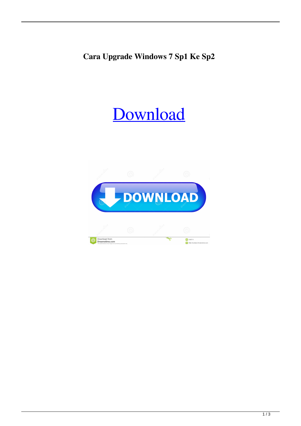## **Cara Upgrade Windows 7 Sp1 Ke Sp2**

## [Download](http://evacdir.com/burroughs/ZG93bmxvYWR8b041TW1WallYeDhNVFkxTWpjME1EZzJObng4TWpVM05IeDhLRTBwSUhKbFlXUXRZbXh2WnlCYlJtRnpkQ0JIUlU1ZA.garrincha.grainger.masterly.Y2FyYSB1cGdyYWRlIHdpbmRvd3MgNyBzcDEga2Ugc3AyY2F.tempts.)

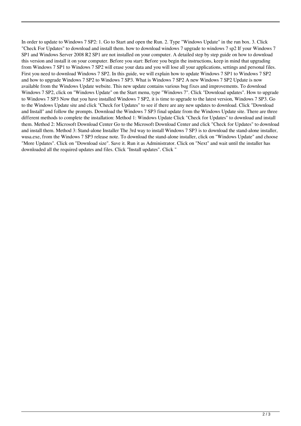In order to update to Windows 7 SP2: 1. Go to Start and open the Run. 2. Type "Windows Update" in the run box. 3. Click "Check For Updates" to download and install them. how to download windows 7 upgrade to windows 7 sp2 If your Windows 7 SP1 and Windows Server 2008 R2 SP1 are not installed on your computer. A detailed step by step guide on how to download this version and install it on your computer. Before you start: Before you begin the instructions, keep in mind that upgrading from Windows 7 SP1 to Windows 7 SP2 will erase your data and you will lose all your applications, settings and personal files. First you need to download Windows 7 SP2. In this guide, we will explain how to update Windows 7 SP1 to Windows 7 SP2 and how to upgrade Windows 7 SP2 to Windows 7 SP3. What is Windows 7 SP2 A new Windows 7 SP2 Update is now available from the Windows Update website. This new update contains various bug fixes and improvements. To download Windows 7 SP2, click on "Windows Update" on the Start menu, type "Windows 7". Click "Download updates". How to upgrade to Windows 7 SP3 Now that you have installed Windows 7 SP2, it is time to upgrade to the latest version, Windows 7 SP3. Go to the Windows Update site and click "Check for Updates" to see if there are any new updates to download. Click "Download and Install" and follow the prompts. Download the Windows 7 SP3 final update from the Windows Update site. There are three different methods to complete the installation: Method 1: Windows Update Click "Check for Updates" to download and install them. Method 2: Microsoft Download Center Go to the Microsoft Download Center and click "Check for Updates" to download and install them. Method 3: Stand-alone Installer The 3rd way to install Windows 7 SP3 is to download the stand-alone installer, wusa.exe, from the Windows 7 SP3 release note. To download the stand-alone installer, click on "Windows Update" and choose "More Updates". Click on "Download size". Save it. Run it as Administrator. Click on "Next" and wait until the installer has downloaded all the required updates and files. Click "Install updates". Click "